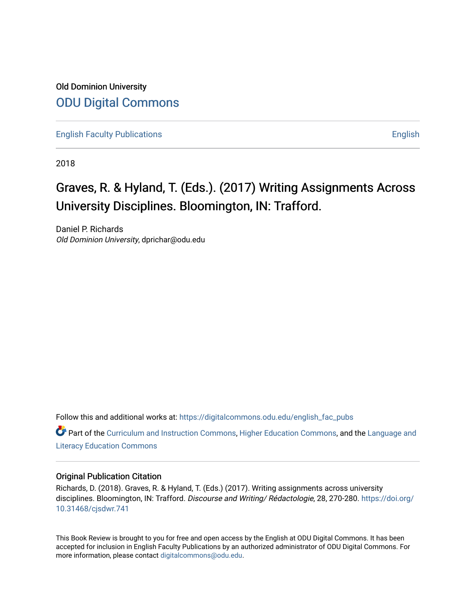Old Dominion University [ODU Digital Commons](https://digitalcommons.odu.edu/) 

[English Faculty Publications](https://digitalcommons.odu.edu/english_fac_pubs) **English** English

2018

## Graves, R. & Hyland, T. (Eds.). (2017) Writing Assignments Across University Disciplines. Bloomington, IN: Trafford.

Daniel P. Richards Old Dominion University, dprichar@odu.edu

Follow this and additional works at: [https://digitalcommons.odu.edu/english\\_fac\\_pubs](https://digitalcommons.odu.edu/english_fac_pubs?utm_source=digitalcommons.odu.edu%2Fenglish_fac_pubs%2F190&utm_medium=PDF&utm_campaign=PDFCoverPages) 

Part of the [Curriculum and Instruction Commons,](http://network.bepress.com/hgg/discipline/786?utm_source=digitalcommons.odu.edu%2Fenglish_fac_pubs%2F190&utm_medium=PDF&utm_campaign=PDFCoverPages) [Higher Education Commons,](http://network.bepress.com/hgg/discipline/1245?utm_source=digitalcommons.odu.edu%2Fenglish_fac_pubs%2F190&utm_medium=PDF&utm_campaign=PDFCoverPages) and the [Language and](http://network.bepress.com/hgg/discipline/1380?utm_source=digitalcommons.odu.edu%2Fenglish_fac_pubs%2F190&utm_medium=PDF&utm_campaign=PDFCoverPages)  [Literacy Education Commons](http://network.bepress.com/hgg/discipline/1380?utm_source=digitalcommons.odu.edu%2Fenglish_fac_pubs%2F190&utm_medium=PDF&utm_campaign=PDFCoverPages)

#### Original Publication Citation

Richards, D. (2018). Graves, R. & Hyland, T. (Eds.) (2017). Writing assignments across university disciplines. Bloomington, IN: Trafford. Discourse and Writing/ Rédactologie, 28, 270-280. [https://doi.org/](https://doi.org/10.31468/cjsdwr.741) [10.31468/cjsdwr.741](https://doi.org/10.31468/cjsdwr.741)

This Book Review is brought to you for free and open access by the English at ODU Digital Commons. It has been accepted for inclusion in English Faculty Publications by an authorized administrator of ODU Digital Commons. For more information, please contact [digitalcommons@odu.edu.](mailto:digitalcommons@odu.edu)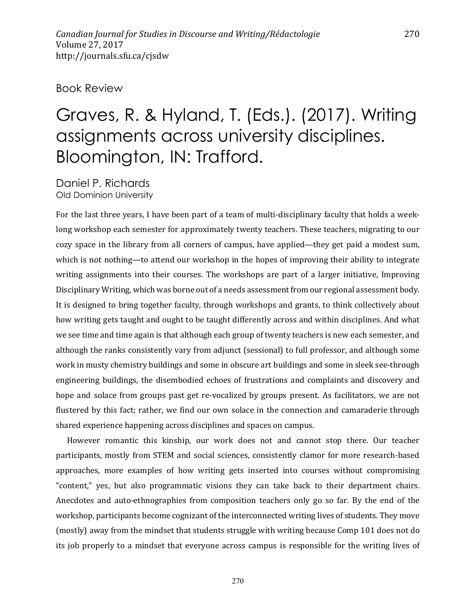#### Book Review

# Graves, R. & Hyland, T. (Eds.). (2017). Writing assignments across university disciplines. Bloomington, IN: Trafford.

Daniel P. Richards Old Dominion University

For the last three years, I have been part of a team of multi-disciplinary faculty that holds a weeklong workshop each semester for approximately twenty teachers. These teachers, migrating to our cozy space in the library from all corners of campus, have applied—they get paid a modest sum, which is not nothing—to attend our workshop in the hopes of improving their ability to integrate writing assignments into their courses. The workshops are part of a larger initiative, Improving Disciplinary Writing, which was borne out of a needs assessment from our regional assessment body. It is designed to bring together faculty, through workshops and grants, to think collectively about how writing gets taught and ought to be taught differently across and within disciplines. And what we see time and time again is that although each group of twenty teachers is new each semester, and although the ranks consistently vary from adjunct (sessional) to full professor, and although some work in musty chemistry buildings and some in obscure art buildings and some in sleek see-through engineering buildings, the disembodied echoes of frustrations and complaints and discovery and hope and solace from groups past get re-vocalized by groups present. As facilitators, we are not flustered by this fact; rather, we find our own solace in the connection and camaraderie through shared experience happening across disciplines and spaces on campus.

However romantic this kinship, our work does not and cannot stop there. Our teacher participants, mostly from STEM and social sciences, consistently clamor for more research-based approaches, more examples of how writing gets inserted into courses without compromising "content," yes, but also programmatic visions they can take back to their department chairs. Anecdotes and auto-ethnographies from composition teachers only go so far. By the end of the workshop, participants become cognizant of the interconnected writing lives of students. They move (mostly) away from the mindset that students struggle with writing because Comp 101 does not do its job properly to a mindset that everyone across campus is responsible for the writing lives of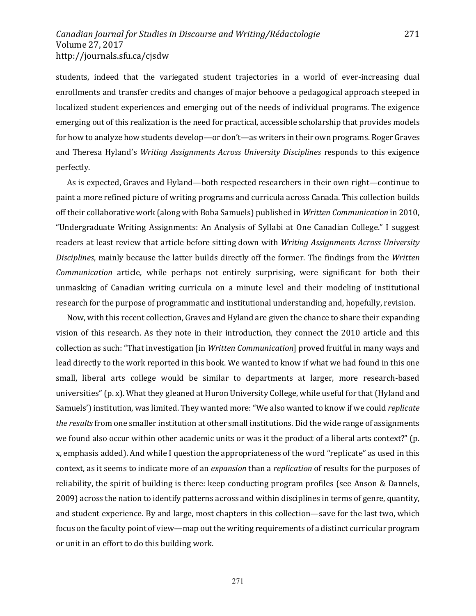students, indeed that the variegated student trajectories in a world of ever-increasing dual enrollments and transfer credits and changes of major behoove a pedagogical approach steeped in localized student experiences and emerging out of the needs of individual programs. The exigence emerging out of this realization is the need for practical, accessible scholarship that provides models for how to analyze how students develop—or don't—as writers in their own programs. Roger Graves and Theresa Hyland's *Writing Assignments Across University Disciplines* responds to this exigence perfectly. 

271

As is expected, Graves and Hyland—both respected researchers in their own right—continue to paint a more refined picture of writing programs and curricula across Canada. This collection builds off their collaborative work (along with Boba Samuels) published in *Written Communication* in 2010, "Undergraduate Writing Assignments: An Analysis of Syllabi at One Canadian College." I suggest readers at least review that article before sitting down with *Writing Assignments Across University Disciplines*, mainly because the latter builds directly off the former. The findings from the *Written Communication* article, while perhaps not entirely surprising, were significant for both their unmasking of Canadian writing curricula on a minute level and their modeling of institutional research for the purpose of programmatic and institutional understanding and, hopefully, revision.

Now, with this recent collection, Graves and Hyland are given the chance to share their expanding vision of this research. As they note in their introduction, they connect the 2010 article and this collection as such: "That investigation [in *Written Communication*] proved fruitful in many ways and lead directly to the work reported in this book. We wanted to know if what we had found in this one small, liberal arts college would be similar to departments at larger, more research-based universities" (p. x). What they gleaned at Huron University College, while useful for that (Hyland and Samuels') institution, was limited. They wanted more: "We also wanted to know if we could *replicate* the results from one smaller institution at other small institutions. Did the wide range of assignments we found also occur within other academic units or was it the product of a liberal arts context?" (p. x, emphasis added). And while I question the appropriateness of the word "replicate" as used in this context, as it seems to indicate more of an *expansion* than a *replication* of results for the purposes of reliability, the spirit of building is there: keep conducting program profiles (see Anson & Dannels, 2009) across the nation to identify patterns across and within disciplines in terms of genre, quantity, and student experience. By and large, most chapters in this collection—save for the last two, which focus on the faculty point of view—map out the writing requirements of a distinct curricular program or unit in an effort to do this building work.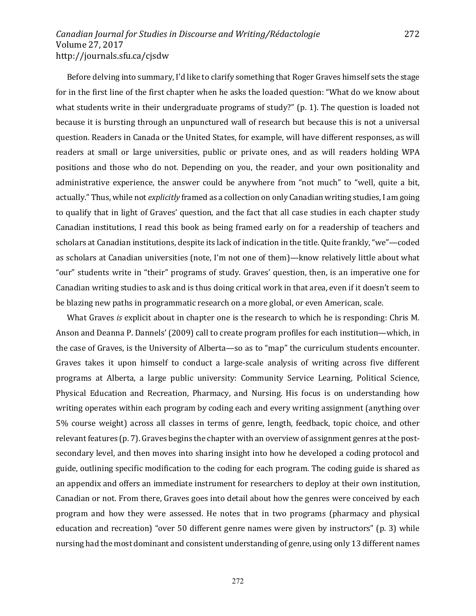Before delving into summary, I'd like to clarify something that Roger Graves himself sets the stage for in the first line of the first chapter when he asks the loaded question: "What do we know about what students write in their undergraduate programs of study?"  $(p. 1)$ . The question is loaded not because it is bursting through an unpunctured wall of research but because this is not a universal question. Readers in Canada or the United States, for example, will have different responses, as will readers at small or large universities, public or private ones, and as will readers holding WPA positions and those who do not. Depending on you, the reader, and your own positionality and administrative experience, the answer could be anywhere from "not much" to "well, quite a bit, actually." Thus, while not *explicitly* framed as a collection on only Canadian writing studies, I am going to qualify that in light of Graves' question, and the fact that all case studies in each chapter study Canadian institutions, I read this book as being framed early on for a readership of teachers and scholars at Canadian institutions, despite its lack of indication in the title. Quite frankly, "we"—coded as scholars at Canadian universities (note, I'm not one of them)—know relatively little about what "our" students write in "their" programs of study. Graves' question, then, is an imperative one for Canadian writing studies to ask and is thus doing critical work in that area, even if it doesn't seem to be blazing new paths in programmatic research on a more global, or even American, scale.

272

What Graves *is* explicit about in chapter one is the research to which he is responding: Chris M. Anson and Deanna P. Dannels' (2009) call to create program profiles for each institution—which, in the case of Graves, is the University of Alberta—so as to "map" the curriculum students encounter. Graves takes it upon himself to conduct a large-scale analysis of writing across five different programs at Alberta, a large public university: Community Service Learning, Political Science, Physical Education and Recreation, Pharmacy, and Nursing. His focus is on understanding how writing operates within each program by coding each and every writing assignment (anything over 5% course weight) across all classes in terms of genre, length, feedback, topic choice, and other relevant features (p. 7). Graves begins the chapter with an overview of assignment genres at the postsecondary level, and then moves into sharing insight into how he developed a coding protocol and guide, outlining specific modification to the coding for each program. The coding guide is shared as an appendix and offers an immediate instrument for researchers to deploy at their own institution, Canadian or not. From there, Graves goes into detail about how the genres were conceived by each program and how they were assessed. He notes that in two programs (pharmacy and physical education and recreation) "over 50 different genre names were given by instructors" (p. 3) while nursing had the most dominant and consistent understanding of genre, using only 13 different names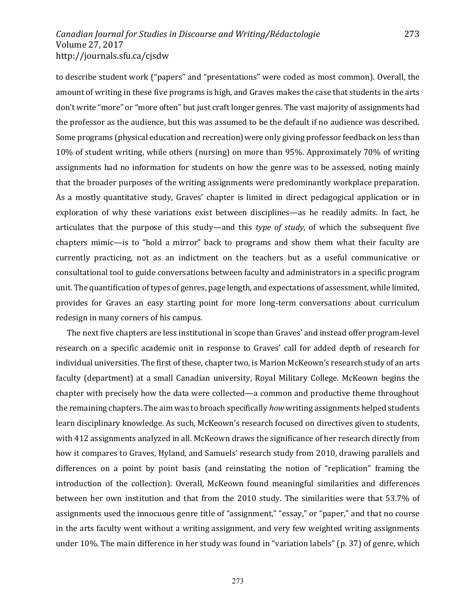to describe student work ("papers" and "presentations" were coded as most common). Overall, the amount of writing in these five programs is high, and Graves makes the case that students in the arts don't write "more" or "more often" but just craft longer genres. The vast majority of assignments had the professor as the audience, but this was assumed to be the default if no audience was described. Some programs (physical education and recreation) were only giving professor feedback on less than 10% of student writing, while others (nursing) on more than 95%. Approximately 70% of writing assignments had no information for students on how the genre was to be assessed, noting mainly that the broader purposes of the writing assignments were predominantly workplace preparation. As a mostly quantitative study, Graves' chapter is limited in direct pedagogical application or in exploration of why these variations exist between disciplines—as he readily admits. In fact, he articulates that the purpose of this study—and this *type of study*, of which the subsequent five chapters mimic—is to "hold a mirror" back to programs and show them what their faculty are currently practicing, not as an indictment on the teachers but as a useful communicative or consultational tool to guide conversations between faculty and administrators in a specific program unit. The quantification of types of genres, page length, and expectations of assessment, while limited, provides for Graves an easy starting point for more long-term conversations about curriculum redesign in many corners of his campus.

The next five chapters are less institutional in scope than Graves' and instead offer program-level research on a specific academic unit in response to Graves' call for added depth of research for individual universities. The first of these, chapter two, is Marion McKeown's research study of an arts faculty (department) at a small Canadian university, Royal Military College. McKeown begins the chapter with precisely how the data were collected—a common and productive theme throughout the remaining chapters. The aim was to broach specifically *how* writing assignments helped students learn disciplinary knowledge. As such, McKeown's research focused on directives given to students, with 412 assignments analyzed in all. McKeown draws the significance of her research directly from how it compares to Graves, Hyland, and Samuels' research study from 2010, drawing parallels and differences on a point by point basis (and reinstating the notion of "replication" framing the introduction of the collection). Overall, McKeown found meaningful similarities and differences between her own institution and that from the 2010 study. The similarities were that 53.7% of assignments used the innocuous genre title of "assignment," "essay," or "paper," and that no course in the arts faculty went without a writing assignment, and very few weighted writing assignments under  $10\%$ . The main difference in her study was found in "variation labels" (p. 37) of genre, which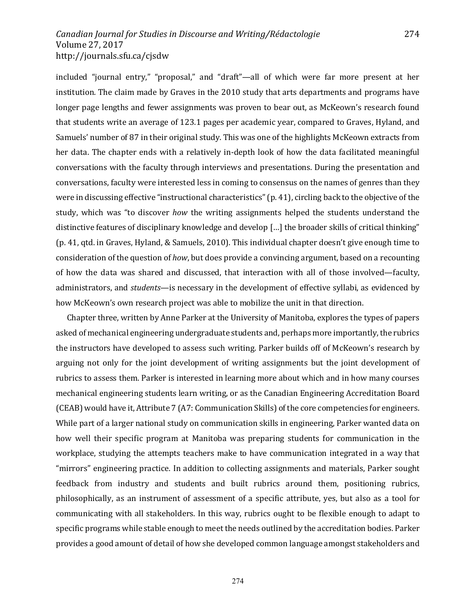included "journal entry," "proposal," and "draft"—all of which were far more present at her institution. The claim made by Graves in the 2010 study that arts departments and programs have longer page lengths and fewer assignments was proven to bear out, as McKeown's research found that students write an average of 123.1 pages per academic year, compared to Graves, Hyland, and Samuels' number of 87 in their original study. This was one of the highlights McKeown extracts from her data. The chapter ends with a relatively in-depth look of how the data facilitated meaningful conversations with the faculty through interviews and presentations. During the presentation and conversations, faculty were interested less in coming to consensus on the names of genres than they were in discussing effective "instructional characteristics" (p. 41), circling back to the objective of the study, which was "to discover *how* the writing assignments helped the students understand the distinctive features of disciplinary knowledge and develop  $\left[\ldots\right]$  the broader skills of critical thinking" (p. 41, qtd. in Graves, Hyland, & Samuels, 2010). This individual chapter doesn't give enough time to consideration of the question of *how*, but does provide a convincing argument, based on a recounting of how the data was shared and discussed, that interaction with all of those involved—faculty, administrators, and *students*—is necessary in the development of effective syllabi, as evidenced by how McKeown's own research project was able to mobilize the unit in that direction.

274

Chapter three, written by Anne Parker at the University of Manitoba, explores the types of papers asked of mechanical engineering undergraduate students and, perhaps more importantly, the rubrics the instructors have developed to assess such writing. Parker builds off of McKeown's research by arguing not only for the joint development of writing assignments but the joint development of rubrics to assess them. Parker is interested in learning more about which and in how many courses mechanical engineering students learn writing, or as the Canadian Engineering Accreditation Board (CEAB) would have it, Attribute 7 (A7: Communication Skills) of the core competencies for engineers. While part of a larger national study on communication skills in engineering, Parker wanted data on how well their specific program at Manitoba was preparing students for communication in the workplace, studying the attempts teachers make to have communication integrated in a way that "mirrors" engineering practice. In addition to collecting assignments and materials, Parker sought feedback from industry and students and built rubrics around them, positioning rubrics, philosophically, as an instrument of assessment of a specific attribute, yes, but also as a tool for communicating with all stakeholders. In this way, rubrics ought to be flexible enough to adapt to specific programs while stable enough to meet the needs outlined by the accreditation bodies. Parker provides a good amount of detail of how she developed common language amongst stakeholders and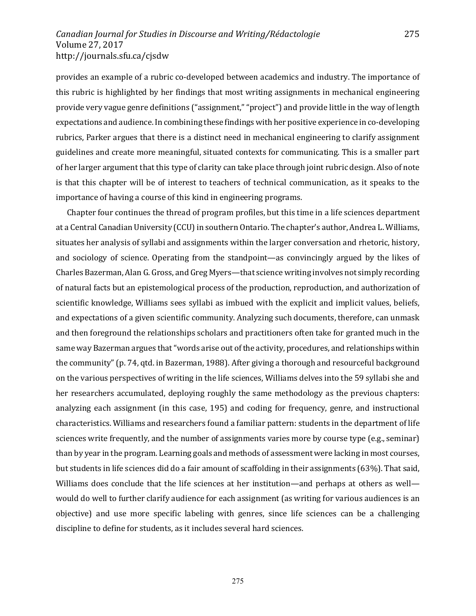provides an example of a rubric co-developed between academics and industry. The importance of this rubric is highlighted by her findings that most writing assignments in mechanical engineering provide very vague genre definitions ("assignment," "project") and provide little in the way of length expectations and audience. In combining these findings with her positive experience in co-developing rubrics, Parker argues that there is a distinct need in mechanical engineering to clarify assignment guidelines and create more meaningful, situated contexts for communicating. This is a smaller part of her larger argument that this type of clarity can take place through joint rubric design. Also of note is that this chapter will be of interest to teachers of technical communication, as it speaks to the importance of having a course of this kind in engineering programs.

Chapter four continues the thread of program profiles, but this time in a life sciences department at a Central Canadian University (CCU) in southern Ontario. The chapter's author, Andrea L. Williams, situates her analysis of syllabi and assignments within the larger conversation and rhetoric, history, and sociology of science. Operating from the standpoint—as convincingly argued by the likes of Charles Bazerman, Alan G. Gross, and Greg Myers—that science writing involves not simply recording of natural facts but an epistemological process of the production, reproduction, and authorization of scientific knowledge, Williams sees syllabi as imbued with the explicit and implicit values, beliefs, and expectations of a given scientific community. Analyzing such documents, therefore, can unmask and then foreground the relationships scholars and practitioners often take for granted much in the same way Bazerman argues that "words arise out of the activity, procedures, and relationships within the community" (p. 74, qtd. in Bazerman, 1988). After giving a thorough and resourceful background on the various perspectives of writing in the life sciences, Williams delves into the 59 syllabi she and her researchers accumulated, deploying roughly the same methodology as the previous chapters: analyzing each assignment (in this case, 195) and coding for frequency, genre, and instructional characteristics. Williams and researchers found a familiar pattern: students in the department of life sciences write frequently, and the number of assignments varies more by course type (e.g., seminar) than by year in the program. Learning goals and methods of assessment were lacking in most courses, but students in life sciences did do a fair amount of scaffolding in their assignments (63%). That said, Williams does conclude that the life sciences at her institution—and perhaps at others as well would do well to further clarify audience for each assignment (as writing for various audiences is an objective) and use more specific labeling with genres, since life sciences can be a challenging discipline to define for students, as it includes several hard sciences.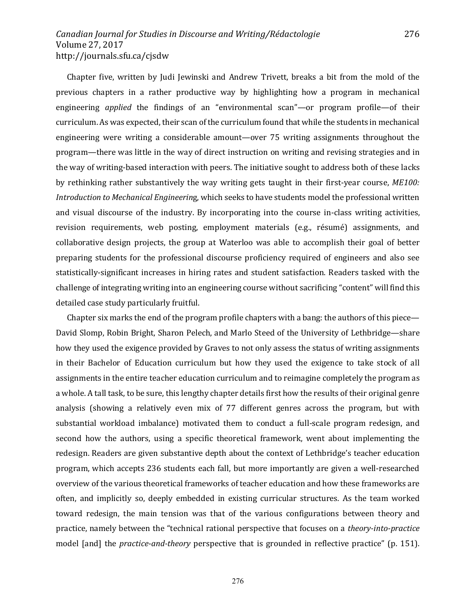Chapter five, written by Judi Jewinski and Andrew Trivett, breaks a bit from the mold of the previous chapters in a rather productive way by highlighting how a program in mechanical engineering *applied* the findings of an "environmental scan"—or program profile—of their curriculum. As was expected, their scan of the curriculum found that while the students in mechanical engineering were writing a considerable amount—over 75 writing assignments throughout the program—there was little in the way of direct instruction on writing and revising strategies and in the way of writing-based interaction with peers. The initiative sought to address both of these lacks by rethinking rather substantively the way writing gets taught in their first-year course, *ME100: Introduction to Mechanical Engineering*, which seeks to have students model the professional written and visual discourse of the industry. By incorporating into the course in-class writing activities, revision requirements, web posting, employment materials (e.g., résumé) assignments, and collaborative design projects, the group at Waterloo was able to accomplish their goal of better preparing students for the professional discourse proficiency required of engineers and also see statistically-significant increases in hiring rates and student satisfaction. Readers tasked with the challenge of integrating writing into an engineering course without sacrificing "content" will find this detailed case study particularly fruitful.

Chapter six marks the end of the program profile chapters with a bang: the authors of this piece— David Slomp, Robin Bright, Sharon Pelech, and Marlo Steed of the University of Lethbridge—share how they used the exigence provided by Graves to not only assess the status of writing assignments in their Bachelor of Education curriculum but how they used the exigence to take stock of all assignments in the entire teacher education curriculum and to reimagine completely the program as a whole. A tall task, to be sure, this lengthy chapter details first how the results of their original genre analysis (showing a relatively even mix of 77 different genres across the program, but with substantial workload imbalance) motivated them to conduct a full-scale program redesign, and second how the authors, using a specific theoretical framework, went about implementing the redesign. Readers are given substantive depth about the context of Lethbridge's teacher education program, which accepts 236 students each fall, but more importantly are given a well-researched overview of the various theoretical frameworks of teacher education and how these frameworks are often, and implicitly so, deeply embedded in existing curricular structures. As the team worked toward redesign, the main tension was that of the various configurations between theory and practice, namely between the "technical rational perspective that focuses on a *theory-into-practice* model [and] the *practice-and-theory* perspective that is grounded in reflective practice" (p. 151).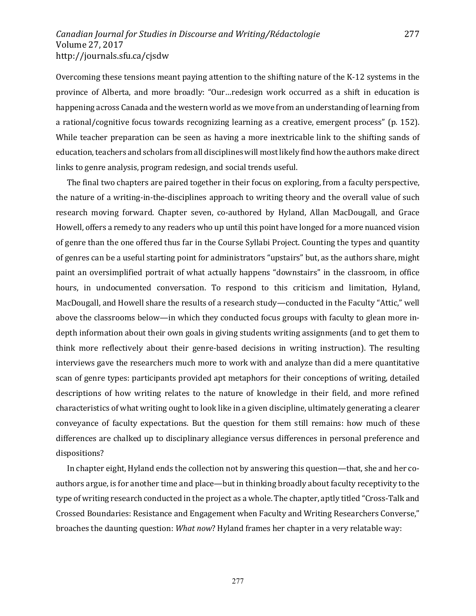Overcoming these tensions meant paying attention to the shifting nature of the K-12 systems in the province of Alberta, and more broadly: "Our...redesign work occurred as a shift in education is happening across Canada and the western world as we move from an understanding of learning from a rational/cognitive focus towards recognizing learning as a creative, emergent process" (p. 152). While teacher preparation can be seen as having a more inextricable link to the shifting sands of education, teachers and scholars from all disciplines will most likely find how the authors make direct links to genre analysis, program redesign, and social trends useful.

The final two chapters are paired together in their focus on exploring, from a faculty perspective, the nature of a writing-in-the-disciplines approach to writing theory and the overall value of such research moving forward. Chapter seven, co-authored by Hyland, Allan MacDougall, and Grace Howell, offers a remedy to any readers who up until this point have longed for a more nuanced vision of genre than the one offered thus far in the Course Syllabi Project. Counting the types and quantity of genres can be a useful starting point for administrators "upstairs" but, as the authors share, might paint an oversimplified portrait of what actually happens "downstairs" in the classroom, in office hours, in undocumented conversation. To respond to this criticism and limitation, Hyland, MacDougall, and Howell share the results of a research study—conducted in the Faculty "Attic," well above the classrooms below—in which they conducted focus groups with faculty to glean more indepth information about their own goals in giving students writing assignments (and to get them to think more reflectively about their genre-based decisions in writing instruction). The resulting interviews gave the researchers much more to work with and analyze than did a mere quantitative scan of genre types: participants provided apt metaphors for their conceptions of writing, detailed descriptions of how writing relates to the nature of knowledge in their field, and more refined characteristics of what writing ought to look like in a given discipline, ultimately generating a clearer conveyance of faculty expectations. But the question for them still remains: how much of these differences are chalked up to disciplinary allegiance versus differences in personal preference and dispositions? 

In chapter eight, Hyland ends the collection not by answering this question—that, she and her coauthors argue, is for another time and place—but in thinking broadly about faculty receptivity to the type of writing research conducted in the project as a whole. The chapter, aptly titled "Cross-Talk and Crossed Boundaries: Resistance and Engagement when Faculty and Writing Researchers Converse," broaches the daunting question: *What now*? Hyland frames her chapter in a very relatable way:

277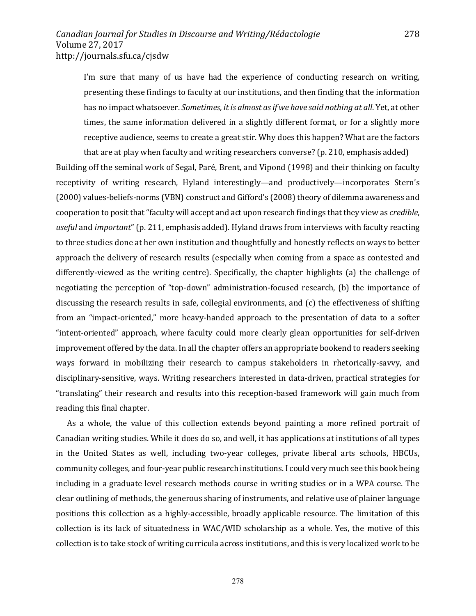I'm sure that many of us have had the experience of conducting research on writing, presenting these findings to faculty at our institutions, and then finding that the information has no impact whatsoever. *Sometimes, it is almost as if we have said nothing at all*. Yet, at other times, the same information delivered in a slightly different format, or for a slightly more receptive audience, seems to create a great stir. Why does this happen? What are the factors that are at play when faculty and writing researchers converse? (p. 210, emphasis added)

Building off the seminal work of Segal, Paré, Brent, and Vipond (1998) and their thinking on faculty receptivity of writing research, Hyland interestingly—and productively—incorporates Stern's (2000) values-beliefs-norms (VBN) construct and Gifford's (2008) theory of dilemma awareness and cooperation to posit that "faculty will accept and act upon research findings that they view as *credible*, useful and *important*" (p. 211, emphasis added). Hyland draws from interviews with faculty reacting to three studies done at her own institution and thoughtfully and honestly reflects on ways to better approach the delivery of research results (especially when coming from a space as contested and differently-viewed as the writing centre). Specifically, the chapter highlights (a) the challenge of negotiating the perception of "top-down" administration-focused research, (b) the importance of discussing the research results in safe, collegial environments, and (c) the effectiveness of shifting from an "impact-oriented," more heavy-handed approach to the presentation of data to a softer "intent-oriented" approach, where faculty could more clearly glean opportunities for self-driven improvement offered by the data. In all the chapter offers an appropriate bookend to readers seeking ways forward in mobilizing their research to campus stakeholders in rhetorically-savvy, and disciplinary-sensitive, ways. Writing researchers interested in data-driven, practical strategies for "translating" their research and results into this reception-based framework will gain much from reading this final chapter.

As a whole, the value of this collection extends beyond painting a more refined portrait of Canadian writing studies. While it does do so, and well, it has applications at institutions of all types in the United States as well, including two-year colleges, private liberal arts schools, HBCUs, community colleges, and four-year public research institutions. I could very much see this book being including in a graduate level research methods course in writing studies or in a WPA course. The clear outlining of methods, the generous sharing of instruments, and relative use of plainer language positions this collection as a highly-accessible, broadly applicable resource. The limitation of this collection is its lack of situatedness in WAC/WID scholarship as a whole. Yes, the motive of this collection is to take stock of writing curricula across institutions, and this is very localized work to be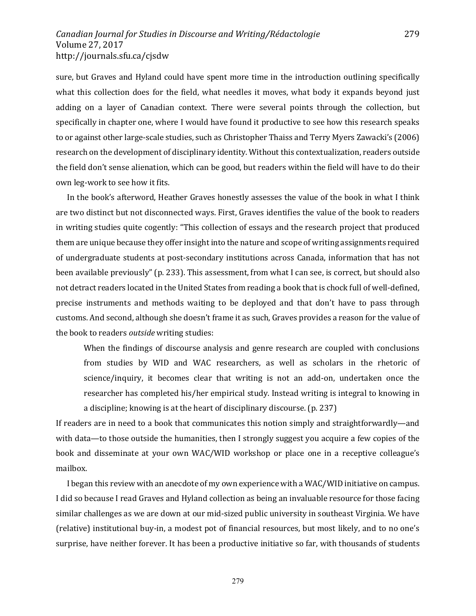sure, but Graves and Hyland could have spent more time in the introduction outlining specifically what this collection does for the field, what needles it moves, what body it expands beyond just adding on a layer of Canadian context. There were several points through the collection, but specifically in chapter one, where I would have found it productive to see how this research speaks to or against other large-scale studies, such as Christopher Thaiss and Terry Myers Zawacki's (2006) research on the development of disciplinary identity. Without this contextualization, readers outside the field don't sense alienation, which can be good, but readers within the field will have to do their own leg-work to see how it fits.

In the book's afterword, Heather Graves honestly assesses the value of the book in what I think are two distinct but not disconnected ways. First, Graves identifies the value of the book to readers in writing studies quite cogently: "This collection of essays and the research project that produced them are unique because they offer insight into the nature and scope of writing assignments required of undergraduate students at post-secondary institutions across Canada, information that has not been available previously" (p. 233). This assessment, from what I can see, is correct, but should also not detract readers located in the United States from reading a book that is chock full of well-defined, precise instruments and methods waiting to be deployed and that don't have to pass through customs. And second, although she doesn't frame it as such, Graves provides a reason for the value of the book to readers *outside* writing studies:

When the findings of discourse analysis and genre research are coupled with conclusions from studies by WID and WAC researchers, as well as scholars in the rhetoric of science/inquiry, it becomes clear that writing is not an add-on, undertaken once the researcher has completed his/her empirical study. Instead writing is integral to knowing in a discipline; knowing is at the heart of disciplinary discourse. (p. 237)

If readers are in need to a book that communicates this notion simply and straightforwardly—and with data—to those outside the humanities, then I strongly suggest you acquire a few copies of the book and disseminate at your own WAC/WID workshop or place one in a receptive colleague's mailbox.

I began this review with an anecdote of my own experience with a WAC/WID initiative on campus. I did so because I read Graves and Hyland collection as being an invaluable resource for those facing similar challenges as we are down at our mid-sized public university in southeast Virginia. We have (relative) institutional buy-in, a modest pot of financial resources, but most likely, and to no one's surprise, have neither forever. It has been a productive initiative so far, with thousands of students